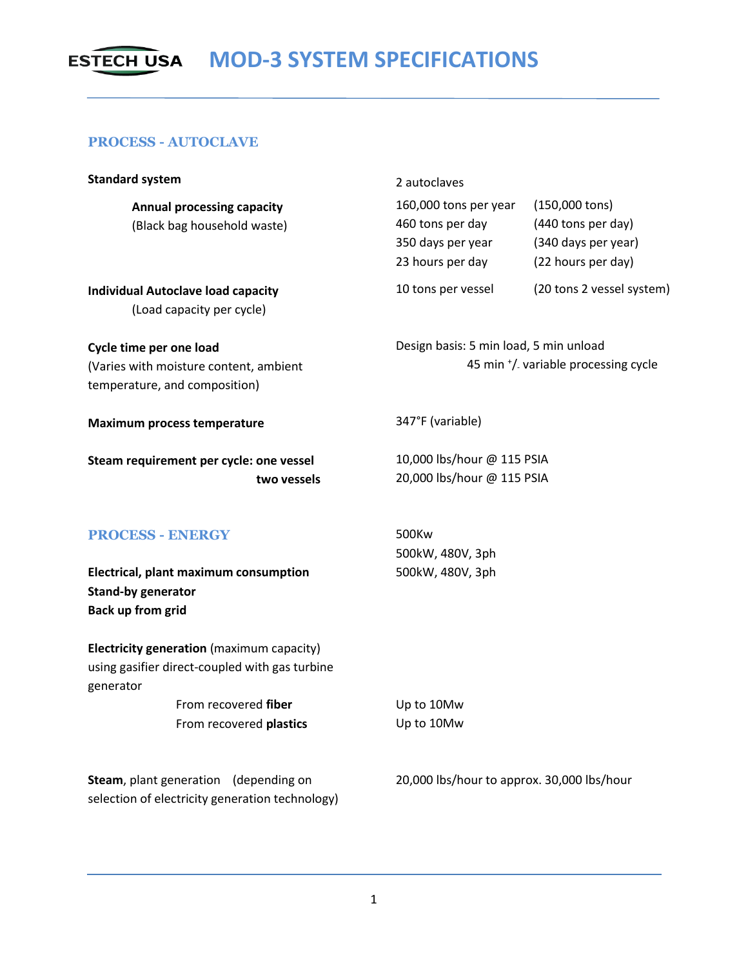## **ESTECH USA MOD-3 SYSTEM SPECIFICATIONS**

## **PROCESS - AUTOCLAVE**

| <b>Standard system</b>                                                                                                           | 2 autoclaves                                                                              |                                                                                             |
|----------------------------------------------------------------------------------------------------------------------------------|-------------------------------------------------------------------------------------------|---------------------------------------------------------------------------------------------|
| <b>Annual processing capacity</b><br>(Black bag household waste)                                                                 | 160,000 tons per year<br>460 tons per day<br>350 days per year<br>23 hours per day        | $(150,000 \text{ tons})$<br>(440 tons per day)<br>(340 days per year)<br>(22 hours per day) |
| <b>Individual Autoclave load capacity</b><br>(Load capacity per cycle)                                                           | 10 tons per vessel                                                                        | (20 tons 2 vessel system)                                                                   |
| Cycle time per one load<br>(Varies with moisture content, ambient<br>temperature, and composition)                               | Design basis: 5 min load, 5 min unload<br>45 min <sup>+</sup> / variable processing cycle |                                                                                             |
| <b>Maximum process temperature</b>                                                                                               | 347°F (variable)                                                                          |                                                                                             |
| Steam requirement per cycle: one vessel<br>two vessels                                                                           | 10,000 lbs/hour @ 115 PSIA<br>20,000 lbs/hour @ 115 PSIA                                  |                                                                                             |
| <b>PROCESS - ENERGY</b><br><b>Electrical, plant maximum consumption</b><br><b>Stand-by generator</b><br><b>Back up from grid</b> | 500Kw<br>500kW, 480V, 3ph<br>500kW, 480V, 3ph                                             |                                                                                             |
| Electricity generation (maximum capacity)<br>using gasifier direct-coupled with gas turbine<br>generator                         |                                                                                           |                                                                                             |
| From recovered fiber<br>From recovered plastics                                                                                  | Up to 10Mw<br>Up to 10Mw                                                                  |                                                                                             |
| Steam, plant generation<br>(depending on<br>selection of electricity generation technology)                                      | 20,000 lbs/hour to approx. 30,000 lbs/hour                                                |                                                                                             |